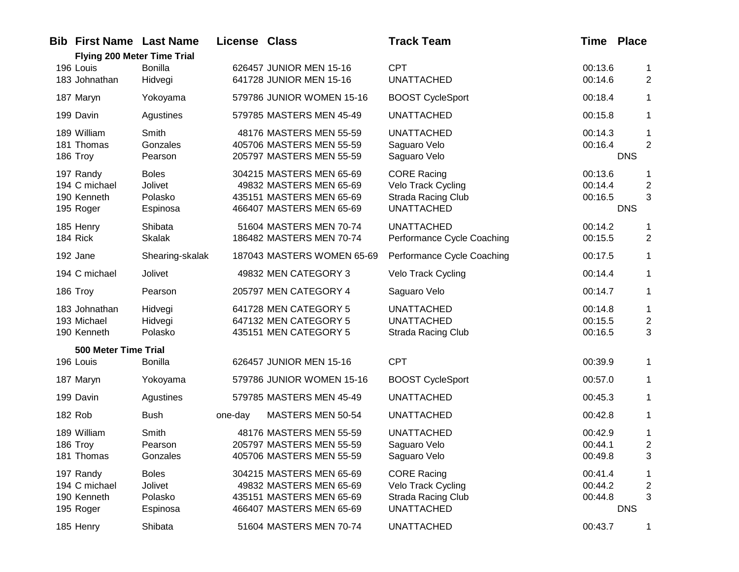| <b>Bib First Name Last Name</b><br><b>Flying 200 Meter Time Trial</b> |                                                | <b>License Class</b> |                                                                                                             | <b>Track Team</b>                                                                          | <b>Time Place</b>             |                                                 |
|-----------------------------------------------------------------------|------------------------------------------------|----------------------|-------------------------------------------------------------------------------------------------------------|--------------------------------------------------------------------------------------------|-------------------------------|-------------------------------------------------|
| 196 Louis<br>183 Johnathan                                            | <b>Bonilla</b><br>Hidvegi                      |                      | 626457 JUNIOR MEN 15-16<br>641728 JUNIOR MEN 15-16                                                          | <b>CPT</b><br><b>UNATTACHED</b>                                                            | 00:13.6<br>00:14.6            | $\mathbf{1}$<br>2                               |
| 187 Maryn                                                             | Yokoyama                                       |                      | 579786 JUNIOR WOMEN 15-16                                                                                   | <b>BOOST CycleSport</b>                                                                    | 00:18.4                       | $\mathbf 1$                                     |
| 199 Davin                                                             | Agustines                                      |                      | 579785 MASTERS MEN 45-49                                                                                    | <b>UNATTACHED</b>                                                                          | 00:15.8                       | $\mathbf 1$                                     |
| 189 William<br>181 Thomas<br>186 Troy                                 | Smith<br>Gonzales<br>Pearson                   |                      | 48176 MASTERS MEN 55-59<br>405706 MASTERS MEN 55-59<br>205797 MASTERS MEN 55-59                             | <b>UNATTACHED</b><br>Saguaro Velo<br>Saguaro Velo                                          | 00:14.3<br>00:16.4            | 1<br>2<br><b>DNS</b>                            |
| 197 Randy<br>194 C michael<br>190 Kenneth<br>195 Roger                | <b>Boles</b><br>Jolivet<br>Polasko<br>Espinosa |                      | 304215 MASTERS MEN 65-69<br>49832 MASTERS MEN 65-69<br>435151 MASTERS MEN 65-69<br>466407 MASTERS MEN 65-69 | <b>CORE Racing</b><br>Velo Track Cycling<br>Strada Racing Club<br><b>UNATTACHED</b>        | 00:13.6<br>00:14.4<br>00:16.5 | 1<br>$\overline{c}$<br>3<br><b>DNS</b>          |
| 185 Henry<br>184 Rick                                                 | Shibata<br><b>Skalak</b>                       |                      | 51604 MASTERS MEN 70-74<br>186482 MASTERS MEN 70-74                                                         | <b>UNATTACHED</b><br>Performance Cycle Coaching                                            | 00:14.2<br>00:15.5            | 1<br>$\overline{2}$                             |
| 192 Jane                                                              | Shearing-skalak                                |                      | 187043 MASTERS WOMEN 65-69                                                                                  | Performance Cycle Coaching                                                                 | 00:17.5                       | $\mathbf 1$                                     |
| 194 C michael                                                         | Jolivet                                        |                      | 49832 MEN CATEGORY 3                                                                                        | Velo Track Cycling                                                                         | 00:14.4                       | $\mathbf 1$                                     |
| 186 Troy                                                              | Pearson                                        |                      | 205797 MEN CATEGORY 4                                                                                       | Saguaro Velo                                                                               | 00:14.7                       | $\mathbf 1$                                     |
| 183 Johnathan<br>193 Michael<br>190 Kenneth                           | Hidvegi<br>Hidvegi<br>Polasko                  |                      | 641728 MEN CATEGORY 5<br>647132 MEN CATEGORY 5<br>435151 MEN CATEGORY 5                                     | <b>UNATTACHED</b><br><b>UNATTACHED</b><br><b>Strada Racing Club</b>                        | 00:14.8<br>00:15.5<br>00:16.5 | 1<br>$\overline{c}$<br>3                        |
| 500 Meter Time Trial<br>196 Louis                                     | <b>Bonilla</b>                                 |                      | 626457 JUNIOR MEN 15-16                                                                                     | <b>CPT</b>                                                                                 | 00:39.9                       | $\mathbf 1$                                     |
| 187 Maryn                                                             | Yokoyama                                       |                      | 579786 JUNIOR WOMEN 15-16                                                                                   | <b>BOOST CycleSport</b>                                                                    | 00:57.0                       | $\mathbf 1$                                     |
| 199 Davin                                                             | Agustines                                      |                      | 579785 MASTERS MEN 45-49                                                                                    | <b>UNATTACHED</b>                                                                          | 00:45.3                       | 1                                               |
| <b>182 Rob</b>                                                        | <b>Bush</b>                                    | one-day              | MASTERS MEN 50-54                                                                                           | <b>UNATTACHED</b>                                                                          | 00:42.8                       | $\mathbf 1$                                     |
| 189 William<br>186 Troy<br>181 Thomas                                 | Smith<br>Pearson<br>Gonzales                   |                      | 48176 MASTERS MEN 55-59<br>205797 MASTERS MEN 55-59<br>405706 MASTERS MEN 55-59                             | <b>UNATTACHED</b><br>Saguaro Velo<br>Saguaro Velo                                          | 00:42.9<br>00:44.1<br>00:49.8 | 1<br>$\mathbf{2}$<br>3                          |
| 197 Randy<br>194 C michael<br>190 Kenneth<br>195 Roger                | <b>Boles</b><br>Jolivet<br>Polasko<br>Espinosa |                      | 304215 MASTERS MEN 65-69<br>49832 MASTERS MEN 65-69<br>435151 MASTERS MEN 65-69<br>466407 MASTERS MEN 65-69 | <b>CORE Racing</b><br>Velo Track Cycling<br><b>Strada Racing Club</b><br><b>UNATTACHED</b> | 00:41.4<br>00:44.2<br>00:44.8 | 1<br>$\overline{\mathbf{c}}$<br>3<br><b>DNS</b> |
| 185 Henry                                                             | Shibata                                        |                      | 51604 MASTERS MEN 70-74                                                                                     | <b>UNATTACHED</b>                                                                          | 00:43.7                       | $\mathbf{1}$                                    |